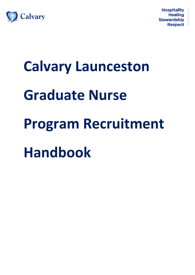

# **Calvary Launceston Graduate Nurse Program Recruitment Handbook**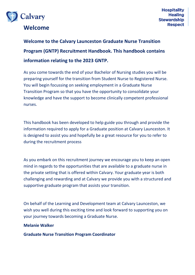

# **Welcome**

**Welcome to the Calvary Launceston Graduate Nurse Transition Program (GNTP) Recruitment Handbook. This handbook contains information relating to the 2023 GNTP.**

As you come towards the end of your Bachelor of Nursing studies you will be preparing yourself for the transition from Student Nurse to Registered Nurse. You will begin focussing on seeking employment in a Graduate Nurse Transition Program so that you have the opportunity to consolidate your knowledge and have the support to become clinically competent professional nurses.

This handbook has been developed to help guide you through and provide the information required to apply for a Graduate position at Calvary Launceston. It is designed to assist you and hopefully be a great resource for you to refer to during the recruitment process

As you embark on this recruitment journey we encourage you to keep an open mind in regards to the opportunities that are available to a graduate nurse in the private setting that is offered within Calvary. Your graduate year is both challenging and rewarding and at Calvary we provide you with a structured and supportive graduate program that assists your transition.

On behalf of the Learning and Development team at Calvary Launceston, we wish you well during this exciting time and look forward to supporting you on your journey towards becoming a Graduate Nurse.

#### **Melanie Walker**

**Graduate Nurse Transition Program Coordinator**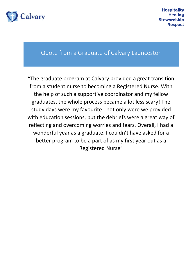

### Quote from a Graduate of Calvary Launceston

"The graduate program at Calvary provided a great transition from a student nurse to becoming a Registered Nurse. With the help of such a supportive coordinator and my fellow graduates, the whole process became a lot less scary! The study days were my favourite - not only were we provided with education sessions, but the debriefs were a great way of reflecting and overcoming worries and fears. Overall, I had a wonderful year as a graduate. I couldn't have asked for a better program to be a part of as my first year out as a Registered Nurse"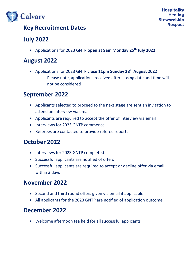

# **Key Recruitment Dates**

# **July 2022**

Applications for 2023 GNTP **open at 9am Monday 25th July 2022**

# **August 2022**

 Applications for 2023 GNTP **close 11pm Sunday 28th August 2022** Please note, applications received after closing date and time will not be considered

# **September 2022**

- Applicants selected to proceed to the next stage are sent an invitation to attend an interview via email
- Applicants are required to accept the offer of interview via email
- Interviews for 2023 GNTP commence
- Referees are contacted to provide referee reports

# **October 2022**

- Interviews for 2023 GNTP completed
- Successful applicants are notified of offers
- Successful applicants are required to accept or decline offer via email within 3 days

# **November 2022**

- Second and third round offers given via email if applicable
- All applicants for the 2023 GNTP are notified of application outcome

# **December 2022**

Welcome afternoon tea held for all successful applicants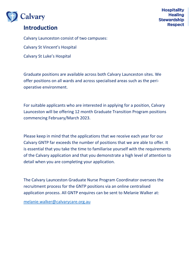

# **Introduction**

Calvary Launceston consist of two campuses: Calvary St Vincent's Hospital Calvary St Luke's Hospital

Graduate positions are available across both Calvary Launceston sites. We offer positions on all wards and across specialised areas such as the perioperative environment.

For suitable applicants who are interested in applying for a position, Calvary Launceston will be offering 12 month Graduate Transition Program positions commencing February/March 2023.

Please keep in mind that the applications that we receive each year for our Calvary GNTP far exceeds the number of positions that we are able to offer. It is essential that you take the time to familiarise yourself with the requirements of the Calvary application and that you demonstrate a high level of attention to detail when you are completing your application.

The Calvary Launceston Graduate Nurse Program Coordinator oversees the recruitment process for the GNTP positions via an online centralised application process. All GNTP enquires can be sent to Melanie Walker at:

[melanie.walker@calvarycare.org.au](mailto:melanie.walker@calvarycare.org.au)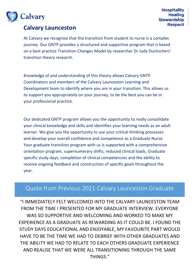

# **Calvary Launceston**

At Calvary we recognise that the transition from student to nurse is a complex journey. Our GNTP provides a structured and supportive program that is based on a best practice Transition Changes Model by researcher Dr Judy Duchschers' transition theory research.

Knowledge of and understanding of this theory allows Calvary GNTP Coordinators and members of the Calvary Launceston Learning and Development team to identify where you are in your transition. This allows us to support you appropriately on your journey, to be the best you can be in your professional practice.

Our dedicated GNTP program allows you the opportunity to really consolidate your clinical knowledge and skills and identifies your learning needs as an adult learner. We give you the opportunity to use your critical thinking processes and develop your overall confidence and competence as a Graduate Nurse. Your graduate transition program with us is supported with a comprehensive orientation program, supernumerary shifts, reduced clinical loads, Graduate specific study days, completion of clinical competencies and the ability to receive ongoing feedback and construction of specific goals throughout the year.

# Quote from Previous 2021 Calvary Launceston Graduate

"I IMMEDIATELY FELT WELCOMED INTO THE CALVARY LAUNCESTON TEAM FROM THE TIME I PRESENTED FOR MY GRADUATE INTERVIEW. EVERYONE WAS SO SUPPORTIVE AND WELCOMING AND WORKED TO MAKE MY EXPERIENCE AS A GRADUATE AS REWARDING AS IT COULD BE. I FOUND THE STUDY DAYS EDUCATIONAL AND ENJOYABLE, MY FAVOURITE PART WOULD HAVE TO BE THE TIME WE HAD TO DEBRIEF WITH OTHER GRADUATES AND THE ABILITY WE HAD TO RELATE TO EACH OTHERS GRADUATE EXPERIENCE AND REALISE THAT WE WERE ALL TRANSITIONING THROUGH THE SAME THINGS."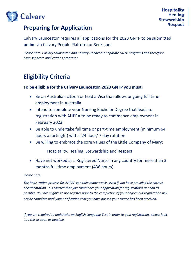# **Preparing for Application**

Calvary Launceston requires all applications for the 2023 GNTP to be submitted **online** via Calvary People Platform or Seek.com

*Please note: Calvary Launceston and Calvary Hobart run separate GNTP programs and therefore have separate applications processes*

# **Eligibility Criteria**

#### **To be eligible for the Calvary Launceston 2023 GNTP you must:**

- Be an Australian citizen or hold a Visa that allows ongoing full time employment in Australia
- Intend to complete your Nursing Bachelor Degree that leads to registration with AHPRA to be ready to commence employment in February 2023
- Be able to undertake full time or part-time employment (minimum 64 hours a fortnight) with a 24 hour/ 7 day rotation
- Be willing to embrace the core values of the Little Company of Mary:

Hospitality, Healing, Stewardship and Respect

 Have not worked as a Registered Nurse in any country for more than 3 months full time employment (436 hours)

#### *Please note:*

*The Registration process for AHPRA can take many weeks, even if you have provided the correct documentation. It is advised that you commence your application for registrations as soon as possible. You are eligible to pre-register prior to the completion of your degree but registration will not be complete until your notification that you have passed your course has been received.*

*If you are required to undertake an English Language Test in order to gain registration, please look into this as soon as possible*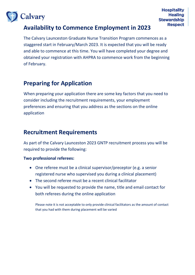

# **Availability to Commence Employment in 2023**

The Calvary Launceston Graduate Nurse Transition Program commences as a staggered start in February/March 2023. It is expected that you will be ready and able to commence at this time. You will have completed your degree and obtained your registration with AHPRA to commence work from the beginning of February.

# **Preparing for Application**

When preparing your application there are some key factors that you need to consider including the recruitment requirements, your employment preferences and ensuring that you address as the sections on the online application

# **Recruitment Requirements**

As part of the Calvary Launceston 2023 GNTP recruitment process you will be required to provide the following:

#### **Two professional referees:**

- One referee must be a clinical supervisor/preceptor (e.g. a senior registered nurse who supervised you during a clinical placement)
- The second referee must be a recent clinical facilitator
- You will be requested to provide the name, title and email contact for both referees during the online application

Please note it is not acceptable to only provide clinical facilitators as the amount of contact that you had with them during placement will be varied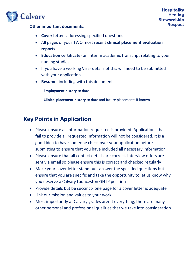- **Cover letter** addressing specified questions
- All pages of your TWO most recent **clinical placement evaluation reports**
- **Education certificate** an interim academic transcript relating to your nursing studies
- If you have a working Visa- details of this will need to be submitted with your application
- **Resume**; including with this document
	- **Employment history** to date
	- **Clinical placement history** to date and future placements if known

# **Key Points in Application**

- Please ensure all information requested is provided. Applications that fail to provide all requested information will not be considered. It is a good idea to have someone check over your application before submitting to ensure that you have included all necessary information
- Please ensure that all contact details are correct. Interview offers are sent via email so please ensure this is correct and checked regularly
- Make your cover letter stand out- answer the specified questions but ensure that you are specific and take the opportunity to let us know why you deserve a Calvary Launceston GNTP position
- Provide details but be succinct- one page for a cover letter is adequate
- Link our mission and values to your work
- Most importantly at Calvary grades aren't everything, there are many other personal and professional qualities that we take into consideration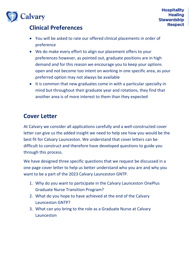

# **Clinical Preferences**

- You will be asked to rate our offered clinical placements in order of preference
- We do make every effort to align our placement offers to your preferences however, as pointed out, graduate positions are in high demand and for this reason we encourage you to keep your options open and not become too intent on working in one specific area, as your preferred option may not always be available
- It is common that new graduates come in with a particular specialty in mind but throughout their graduate year and rotations, they find that another area is of more interest to them than they expected

# **Cover Letter**

At Calvary we consider all applications carefully and a well-constructed cover letter can give us the added insight we need to help see how you would be the best fit for Calvary Launceston. We understand that cover letters can be difficult to construct and therefore have developed questions to guide you through this process.

We have designed three specific questions that we request be discussed in a one page cover letter to help us better understand who you are and why you want to be a part of the 2023 Calvary Launceston GNTP.

- 1. Why do you want to participate in the Calvary Launceston OnePlus Graduate Nurse Transition Program?
- 2. What do you hope to have achieved at the end of the Calvary Launceston GNTP?
- 3. What can you bring to the role as a Graduate Nurse at Calvary Launceston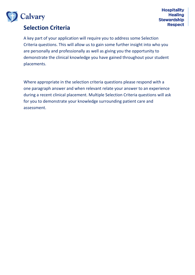

# **Selection Criteria**

A key part of your application will require you to address some Selection Criteria questions. This will allow us to gain some further insight into who you are personally and professionally as well as giving you the opportunity to demonstrate the clinical knowledge you have gained throughout your student placements.

Where appropriate in the selection criteria questions please respond with a one paragraph answer and when relevant relate your answer to an experience during a recent clinical placement. Multiple Selection Criteria questions will ask for you to demonstrate your knowledge surrounding patient care and assessment.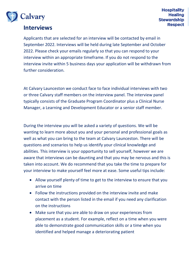

### **Interviews**

Applicants that are selected for an interview will be contacted by email in September 2022. Interviews will be held during late September and October 2022. Please check your emails regularly so that you can respond to your interview within an appropriate timeframe. If you do not respond to the interview invite within 5 business days your application will be withdrawn from further consideration.

At Calvary Launceston we conduct face to face individual interviews with two or three Calvary staff members on the interview panel. The interview panel typically consists of the Graduate Program Coordinator plus a Clinical Nurse Manager, a Learning and Development Educator or a senior staff member.

During the interview you will be asked a variety of questions. We will be wanting to learn more about you and your personal and professional goals as well as what you can bring to the team at Calvary Launceston. There will be questions and scenarios to help us identify your clinical knowledge and abilities. This interview is your opportunity to sell yourself, however we are aware that interviews can be daunting and that you may be nervous and this is taken into account. We do recommend that you take the time to prepare for your interview to make yourself feel more at ease. Some useful tips include:

- Allow yourself plenty of time to get to the interview to ensure that you arrive on time
- Follow the instructions provided on the interview invite and make contact with the person listed in the email if you need any clarification on the instructions
- Make sure that you are able to draw on your experiences from placement as a student. For example, reflect on a time when you were able to demonstrate good communication skills or a time when you identified and helped manage a deteriorating patient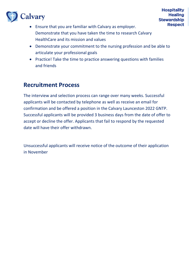- Ensure that you are familiar with Calvary as employer. Demonstrate that you have taken the time to research Calvary HealthCare and its mission and values
- Demonstrate your commitment to the nursing profession and be able to articulate your professional goals
- Practice! Take the time to practice answering questions with families and friends

# **Recruitment Process**

The interview and selection process can range over many weeks. Successful applicants will be contacted by telephone as well as receive an email for confirmation and be offered a position in the Calvary Launceston 2022 GNTP. Successful applicants will be provided 3 business days from the date of offer to accept or decline the offer. Applicants that fail to respond by the requested date will have their offer withdrawn.

Unsuccessful applicants will receive notice of the outcome of their application in November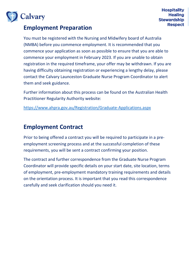

### **Employment Preparation**

You must be registered with the Nursing and Midwifery board of Australia (NMBA) before you commence employment. It is recommended that you commence your application as soon as possible to ensure that you are able to commence your employment in February 2023. If you are unable to obtain registration in the required timeframe, your offer may be withdrawn. If you are having difficulty obtaining registration or experiencing a lengthy delay, please contact the Calvary Launceston Graduate Nurse Program Coordinator to alert them and seek guidance.

Further information about this process can be found on the Australian Health Practitioner Regularity Authority website:

<https://www.ahpra.gov.au/Registration/Graduate-Applications.aspx>

### **Employment Contract**

Prior to being offered a contract you will be required to participate in a preemployment screening process and at the successful completion of these requirements, you will be sent a contract confirming your position.

The contract and further correspondence from the Graduate Nurse Program Coordinator will provide specific details on your start date, site location, terms of employment, pre-employment mandatory training requirements and details on the orientation process. It is important that you read this correspondence carefully and seek clarification should you need it.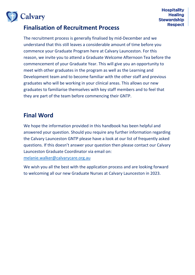

# **Finalisation of Recruitment Process**

The recruitment process is generally finalised by mid-December and we understand that this still leaves a considerable amount of time before you commence your Graduate Program here at Calvary Launceston. For this reason, we invite you to attend a Graduate Welcome Afternoon Tea before the commencement of your Graduate Year. This will give you an opportunity to meet with other graduates in the program as well as the Learning and Development team and to become familiar with the other staff and previous graduates who will be working in your clinical areas. This allows our new graduates to familiarise themselves with key staff members and to feel that they are part of the team before commencing their GNTP.

# **Final Word**

We hope the information provided in this handbook has been helpful and answered your question. Should you require any further information regarding the Calvary Launceston GNTP please have a look at our list of frequently asked questions. If this doesn't answer your question then please contact our Calvary Launceston Graduate Coordinator via email on: [melanie.walker@calvarycare.org.au](mailto:melanie.walker@calvarycare.org.au)

We wish you all the best with the application process and are looking forward to welcoming all our new Graduate Nurses at Calvary Launceston in 2023.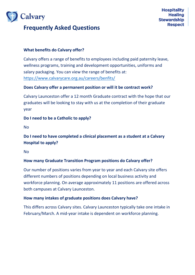

#### **What benefits do Calvary offer?**

Calvary offers a range of benefits to employees including paid paternity leave, wellness programs, training and development opportunities, uniforms and salary packaging. You can view the range of benefits at: <https://www.calvarycare.org.au/careers/benfits/>

#### **Does Calvary offer a permanent position or will it be contract work?**

Calvary Launceston offer a 12 month Graduate contract with the hope that our graduates will be looking to stay with us at the completion of their graduate year

#### **Do I need to be a Catholic to apply?**

No

#### **Do I need to have completed a clinical placement as a student at a Calvary Hospital to apply?**

No

#### **How many Graduate Transition Program positions do Calvary offer?**

Our number of positions varies from year to year and each Calvary site offers different numbers of positions depending on local business activity and workforce planning. On average approximately 11 positions are offered across both campuses at Calvary Launceston.

#### **How many intakes of graduate positions does Calvary have?**

This differs across Calvary sites. Calvary Launceston typically take one intake in February/March. A mid-year intake is dependent on workforce planning.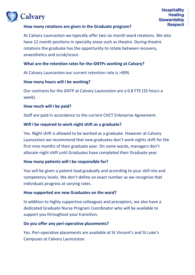At Calvary Launceston we typically offer two six month ward rotations. We also have 12 month positions in specialty areas such as theatre. During theatre rotations the graduate has the opportunity to rotate between recovery, anaesthetics and scrub/scout.

#### **What are the retention rates for the GNTPs working at Calvary?**

At Calvary Launceston our current retention rate is >90%

#### **How many hours will I be working?**

Our contracts for the GNTP at Calvary Launceston are a 0.8 FTE (32 hours a week).

#### **How much will I be paid?**

Staff are paid in accordance to the current CHCT Enterprise Agreement.

#### **Will I be required to work night shift as a graduate?**

Yes. Night shift is allowed to be worked as a graduate. However at Calvary Launceston we recommend that new graduates don't work nights shift for the first nine months of their graduate year. On some wards, managers don't allocate night shift until Graduates have completed their Graduate year.

#### **How many patients will I be responsible for?**

You will be given a patient load gradually and according to your skill mix and competency levels. We don't define an exact number as we recognise that individuals progress at varying rates.

#### **How supported are new Graduates on the ward?**

In addition to highly supportive colleagues and preceptors, we also have a dedicated Graduate Nurse Program Coordinator who will be available to support you throughout your transition.

#### **Do you offer any peri-operative placements?**

Yes. Peri-operative placements are available at St Vincent's and St Luke's Campuses at Calvary Launceston.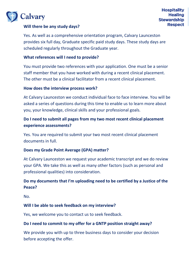#### **Will there be any study days?**

Yes. As well as a comprehensive orientation program, Calvary Launceston provides six full day, Graduate specific paid study days. These study days are scheduled regularly throughout the Graduate year.

#### **What references will I need to provide?**

You must provide two references with your application. One must be a senior staff member that you have worked with during a recent clinical placement. The other must be a clinical facilitator from a recent clinical placement.

#### **How does the interview process work?**

At Calvary Launceston we conduct individual face to face interview. You will be asked a series of questions during this time to enable us to learn more about you, your knowledge, clinical skills and your professional goals.

#### **Do I need to submit all pages from my two most recent clinical placement experience assessments?**

Yes. You are required to submit your two most recent clinical placement documents in full.

#### **Does my Grade Point Average (GPA) matter?**

At Calvary Launceston we request your academic transcript and we do review your GPA. We take this as well as many other factors (such as personal and professional qualities) into consideration.

#### **Do my documents that I'm uploading need to be certified by a Justice of the Peace?**

No.

#### **Will I be able to seek feedback on my interview?**

Yes, we welcome you to contact us to seek feedback.

#### **Do I need to commit to my offer for a GNTP position straight away?**

We provide you with up to three business days to consider your decision before accepting the offer.